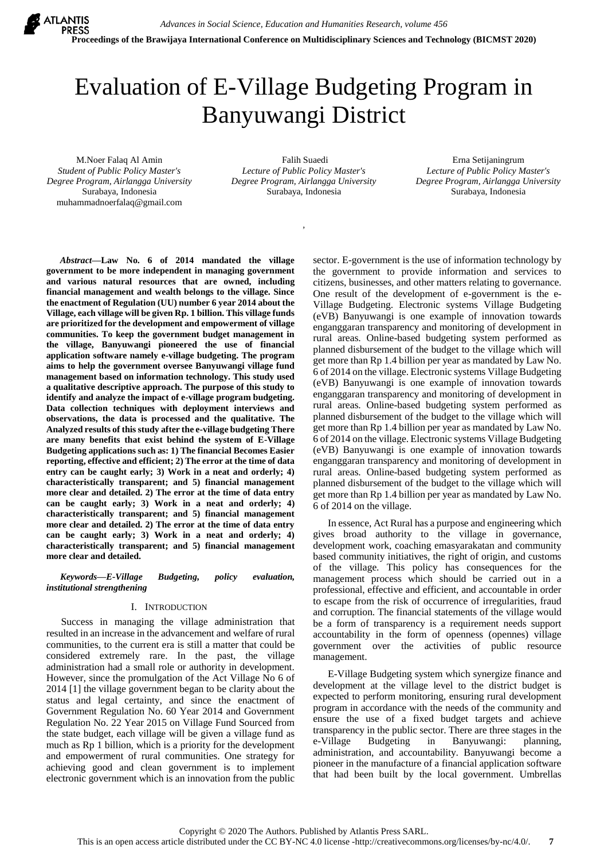

# Evaluation of E-Village Budgeting Program in Banyuwangi District

M.Noer Falaq Al Amin *Student of Public Policy Master's Degree Program, Airlangga University* Surabaya, Indonesia [muhammadnoerfalaq@gmail.com](mailto:muhammadnoerfalaq@gmail.com)

Falih Suaedi *Lecture of Public Policy Master's Degree Program, Airlangga University* Surabaya, Indonesia

*,* 

Erna Setijaningrum *Lecture of Public Policy Master's Degree Program, Airlangga University* Surabaya, Indonesia

*Abstract***—Law No. 6 of 2014 mandated the village government to be more independent in managing government and various natural resources that are owned, including financial management and wealth belongs to the village. Since the enactment of Regulation (UU) number 6 year 2014 about the Village, each village will be given Rp. 1 billion. This village funds are prioritized for the development and empowerment of village communities. To keep the government budget management in the village, Banyuwangi pioneered the use of financial application software namely e-village budgeting. The program aims to help the government oversee Banyuwangi village fund management based on information technology. This study used a qualitative descriptive approach. The purpose of this study to identify and analyze the impact of e-village program budgeting. Data collection techniques with deployment interviews and observations, the data is processed and the qualitative. The Analyzed results of this study after the e-village budgeting There are many benefits that exist behind the system of E-Village Budgeting applications such as: 1) The financial Becomes Easier reporting, effective and efficient; 2) The error at the time of data entry can be caught early; 3) Work in a neat and orderly; 4) characteristically transparent; and 5) financial management more clear and detailed. 2) The error at the time of data entry can be caught early; 3) Work in a neat and orderly; 4) characteristically transparent; and 5) financial management more clear and detailed. 2) The error at the time of data entry can be caught early; 3) Work in a neat and orderly; 4) characteristically transparent; and 5) financial management more clear and detailed.**

*Keywords—E-Village Budgeting, policy evaluation, institutional strengthening*

# I. INTRODUCTION

Success in managing the village administration that resulted in an increase in the advancement and welfare of rural communities, to the current era is still a matter that could be considered extremely rare. In the past, the village administration had a small role or authority in development. However, since the promulgation of the Act Village No 6 of 2014 [1] the village government began to be clarity about the status and legal certainty, and since the enactment of Government Regulation No. 60 Year 2014 and Government Regulation No. 22 Year 2015 on Village Fund Sourced from the state budget, each village will be given a village fund as much as Rp 1 billion, which is a priority for the development and empowerment of rural communities. One strategy for achieving good and clean government is to implement electronic government which is an innovation from the public sector. E-government is the use of information technology by the government to provide information and services to citizens, businesses, and other matters relating to governance. One result of the development of e-government is the e-Village Budgeting. Electronic systems Village Budgeting (eVB) Banyuwangi is one example of innovation towards enganggaran transparency and monitoring of development in rural areas. Online-based budgeting system performed as planned disbursement of the budget to the village which will get more than Rp 1.4 billion per year as mandated by Law No. 6 of 2014 on the village. Electronic systems Village Budgeting (eVB) Banyuwangi is one example of innovation towards enganggaran transparency and monitoring of development in rural areas. Online-based budgeting system performed as planned disbursement of the budget to the village which will get more than Rp 1.4 billion per year as mandated by Law No. 6 of 2014 on the village. Electronic systems Village Budgeting (eVB) Banyuwangi is one example of innovation towards enganggaran transparency and monitoring of development in rural areas. Online-based budgeting system performed as planned disbursement of the budget to the village which will get more than Rp 1.4 billion per year as mandated by Law No. 6 of 2014 on the village.

In essence, Act Rural has a purpose and engineering which gives broad authority to the village in governance, development work, coaching emasyarakatan and community based community initiatives, the right of origin, and customs of the village. This policy has consequences for the management process which should be carried out in a professional, effective and efficient, and accountable in order to escape from the risk of occurrence of irregularities, fraud and corruption. The financial statements of the village would be a form of transparency is a requirement needs support accountability in the form of openness (opennes) village government over the activities of public resource management.

E-Village Budgeting system which synergize finance and development at the village level to the district budget is expected to perform monitoring, ensuring rural development program in accordance with the needs of the community and ensure the use of a fixed budget targets and achieve transparency in the public sector. There are three stages in the e-Village Budgeting in Banyuwangi: planning, administration, and accountability. Banyuwangi become a pioneer in the manufacture of a financial application software that had been built by the local government. Umbrellas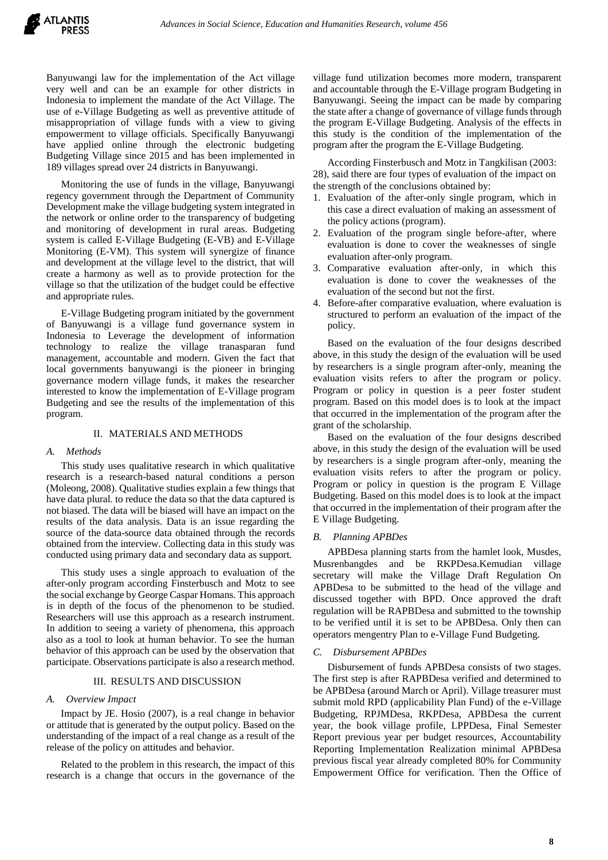Banyuwangi law for the implementation of the Act village very well and can be an example for other districts in Indonesia to implement the mandate of the Act Village. The use of e-Village Budgeting as well as preventive attitude of misappropriation of village funds with a view to giving empowerment to village officials. Specifically Banyuwangi have applied online through the electronic budgeting Budgeting Village since 2015 and has been implemented in 189 villages spread over 24 districts in Banyuwangi.

Monitoring the use of funds in the village, Banyuwangi regency government through the Department of Community Development make the village budgeting system integrated in the network or online order to the transparency of budgeting and monitoring of development in rural areas. Budgeting system is called E-Village Budgeting (E-VB) and E-Village Monitoring (E-VM). This system will synergize of finance and development at the village level to the district, that will create a harmony as well as to provide protection for the village so that the utilization of the budget could be effective and appropriate rules.

E-Village Budgeting program initiated by the government of Banyuwangi is a village fund governance system in Indonesia to Leverage the development of information technology to realize the village tranasparan fund management, accountable and modern. Given the fact that local governments banyuwangi is the pioneer in bringing governance modern village funds, it makes the researcher interested to know the implementation of E-Village program Budgeting and see the results of the implementation of this program.

# II. MATERIALS AND METHODS

# *A. Methods*

This study uses qualitative research in which qualitative research is a research-based natural conditions a person (Moleong, 2008). Qualitative studies explain a few things that have data plural. to reduce the data so that the data captured is not biased. The data will be biased will have an impact on the results of the data analysis. Data is an issue regarding the source of the data-source data obtained through the records obtained from the interview. Collecting data in this study was conducted using primary data and secondary data as support.

This study uses a single approach to evaluation of the after-only program according Finsterbusch and Motz to see the social exchange by George Caspar Homans. This approach is in depth of the focus of the phenomenon to be studied. Researchers will use this approach as a research instrument. In addition to seeing a variety of phenomena, this approach also as a tool to look at human behavior. To see the human behavior of this approach can be used by the observation that participate. Observations participate is also a research method.

# III. RESULTS AND DISCUSSION

# *A. Overview Impact*

Impact by JE. Hosio (2007), is a real change in behavior or attitude that is generated by the output policy. Based on the understanding of the impact of a real change as a result of the release of the policy on attitudes and behavior.

Related to the problem in this research, the impact of this research is a change that occurs in the governance of the

village fund utilization becomes more modern, transparent and accountable through the E-Village program Budgeting in Banyuwangi. Seeing the impact can be made by comparing the state after a change of governance of village funds through the program E-Village Budgeting. Analysis of the effects in this study is the condition of the implementation of the program after the program the E-Village Budgeting.

According Finsterbusch and Motz in Tangkilisan (2003: 28), said there are four types of evaluation of the impact on the strength of the conclusions obtained by:

- 1. Evaluation of the after-only single program, which in this case a direct evaluation of making an assessment of the policy actions (program).
- 2. Evaluation of the program single before-after, where evaluation is done to cover the weaknesses of single evaluation after-only program.
- 3. Comparative evaluation after-only, in which this evaluation is done to cover the weaknesses of the evaluation of the second but not the first.
- 4. Before-after comparative evaluation, where evaluation is structured to perform an evaluation of the impact of the policy.

Based on the evaluation of the four designs described above, in this study the design of the evaluation will be used by researchers is a single program after-only, meaning the evaluation visits refers to after the program or policy. Program or policy in question is a peer foster student program. Based on this model does is to look at the impact that occurred in the implementation of the program after the grant of the scholarship.

Based on the evaluation of the four designs described above, in this study the design of the evaluation will be used by researchers is a single program after-only, meaning the evaluation visits refers to after the program or policy. Program or policy in question is the program E Village Budgeting. Based on this model does is to look at the impact that occurred in the implementation of their program after the E Village Budgeting.

### *B. Planning APBDes*

APBDesa planning starts from the hamlet look, Musdes, Musrenbangdes and be RKPDesa.Kemudian village secretary will make the Village Draft Regulation On APBDesa to be submitted to the head of the village and discussed together with BPD. Once approved the draft regulation will be RAPBDesa and submitted to the township to be verified until it is set to be APBDesa. Only then can operators mengentry Plan to e-Village Fund Budgeting.

### *C. Disbursement APBDes*

Disbursement of funds APBDesa consists of two stages. The first step is after RAPBDesa verified and determined to be APBDesa (around March or April). Village treasurer must submit mold RPD (applicability Plan Fund) of the e-Village Budgeting, RPJMDesa, RKPDesa, APBDesa the current year, the book village profile, LPPDesa, Final Semester Report previous year per budget resources, Accountability Reporting Implementation Realization minimal APBDesa previous fiscal year already completed 80% for Community Empowerment Office for verification. Then the Office of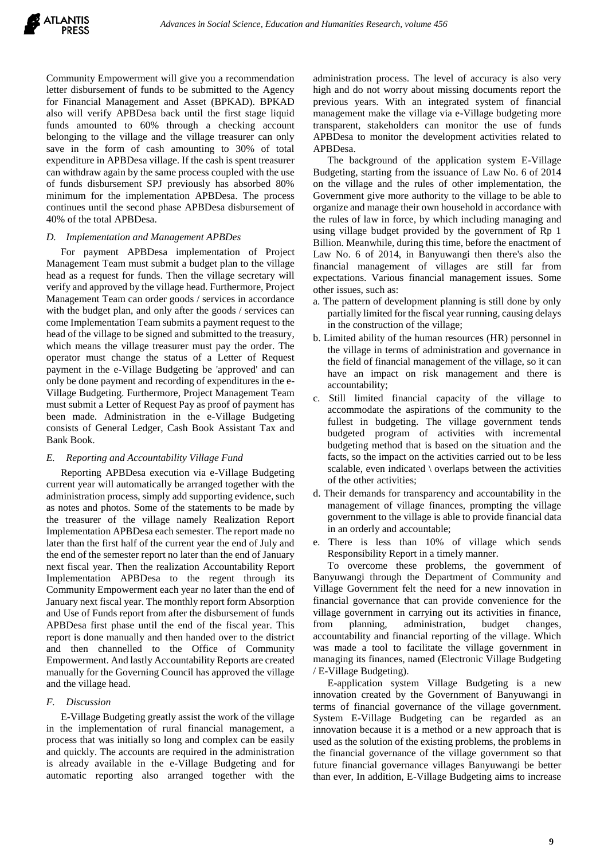

Community Empowerment will give you a recommendation letter disbursement of funds to be submitted to the Agency for Financial Management and Asset (BPKAD). BPKAD also will verify APBDesa back until the first stage liquid funds amounted to 60% through a checking account belonging to the village and the village treasurer can only save in the form of cash amounting to 30% of total expenditure in APBDesa village. If the cash is spent treasurer can withdraw again by the same process coupled with the use of funds disbursement SPJ previously has absorbed 80% minimum for the implementation APBDesa. The process continues until the second phase APBDesa disbursement of 40% of the total APBDesa.

### *D. Implementation and Management APBDes*

For payment APBDesa implementation of Project Management Team must submit a budget plan to the village head as a request for funds. Then the village secretary will verify and approved by the village head. Furthermore, Project Management Team can order goods / services in accordance with the budget plan, and only after the goods / services can come Implementation Team submits a payment request to the head of the village to be signed and submitted to the treasury, which means the village treasurer must pay the order. The operator must change the status of a Letter of Request payment in the e-Village Budgeting be 'approved' and can only be done payment and recording of expenditures in the e-Village Budgeting. Furthermore, Project Management Team must submit a Letter of Request Pay as proof of payment has been made. Administration in the e-Village Budgeting consists of General Ledger, Cash Book Assistant Tax and Bank Book.

### *E. Reporting and Accountability Village Fund*

Reporting APBDesa execution via e-Village Budgeting current year will automatically be arranged together with the administration process, simply add supporting evidence, such as notes and photos. Some of the statements to be made by the treasurer of the village namely Realization Report Implementation APBDesa each semester. The report made no later than the first half of the current year the end of July and the end of the semester report no later than the end of January next fiscal year. Then the realization Accountability Report Implementation APBDesa to the regent through its Community Empowerment each year no later than the end of January next fiscal year. The monthly report form Absorption and Use of Funds report from after the disbursement of funds APBDesa first phase until the end of the fiscal year. This report is done manually and then handed over to the district and then channelled to the Office of Community Empowerment. And lastly Accountability Reports are created manually for the Governing Council has approved the village and the village head.

### *F. Discussion*

E-Village Budgeting greatly assist the work of the village in the implementation of rural financial management, a process that was initially so long and complex can be easily and quickly. The accounts are required in the administration is already available in the e-Village Budgeting and for automatic reporting also arranged together with the

administration process. The level of accuracy is also very high and do not worry about missing documents report the previous years. With an integrated system of financial management make the village via e-Village budgeting more transparent, stakeholders can monitor the use of funds APBDesa to monitor the development activities related to APBDesa.

The background of the application system E-Village Budgeting, starting from the issuance of Law No. 6 of 2014 on the village and the rules of other implementation, the Government give more authority to the village to be able to organize and manage their own household in accordance with the rules of law in force, by which including managing and using village budget provided by the government of Rp 1 Billion. Meanwhile, during this time, before the enactment of Law No. 6 of 2014, in Banyuwangi then there's also the financial management of villages are still far from expectations. Various financial management issues. Some other issues, such as:

- a. The pattern of development planning is still done by only partially limited for the fiscal year running, causing delays in the construction of the village;
- b. Limited ability of the human resources (HR) personnel in the village in terms of administration and governance in the field of financial management of the village, so it can have an impact on risk management and there is accountability;
- c. Still limited financial capacity of the village to accommodate the aspirations of the community to the fullest in budgeting. The village government tends budgeted program of activities with incremental budgeting method that is based on the situation and the facts, so the impact on the activities carried out to be less scalable, even indicated \ overlaps between the activities of the other activities;
- d. Their demands for transparency and accountability in the management of village finances, prompting the village government to the village is able to provide financial data in an orderly and accountable;
- e. There is less than 10% of village which sends Responsibility Report in a timely manner.

To overcome these problems, the government of Banyuwangi through the Department of Community and Village Government felt the need for a new innovation in financial governance that can provide convenience for the village government in carrying out its activities in finance, from planning, administration, budget changes, accountability and financial reporting of the village. Which was made a tool to facilitate the village government in managing its finances, named (Electronic Village Budgeting / E-Village Budgeting).

E-application system Village Budgeting is a new innovation created by the Government of Banyuwangi in terms of financial governance of the village government. System E-Village Budgeting can be regarded as an innovation because it is a method or a new approach that is used as the solution of the existing problems, the problems in the financial governance of the village government so that future financial governance villages Banyuwangi be better than ever, In addition, E-Village Budgeting aims to increase